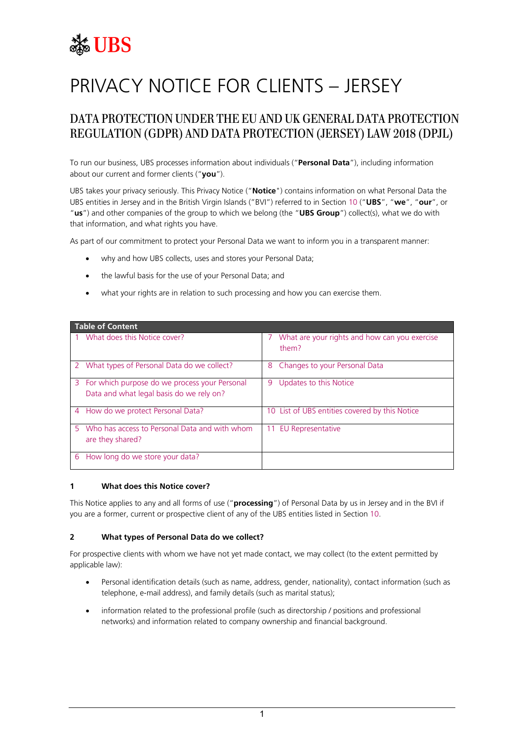# **SE UBS**

# PRIVACY NOTICE FOR CLIENTS – JERSEY

# DATA PROTECTION UNDER THE EU AND UK GENERAL DATA PROTECTION REGULATION (GDPR) AND DATA PROTECTION (JERSEY) LAW 2018 (DPJL)

To run our business, UBS processes information about individuals ("**Personal Data**"), including information about our current and former clients ("**you**").

UBS takes your privacy seriously. This Privacy Notice ("**Notice**") contains information on what Personal Data the UBS entities in Jersey and in the British Virgin Islands ("BVI") referred to in Section [10](#page-8-0) ("**UBS**", "**we**", "**our**", or "**us**") and other companies of the group to which we belong (the "**UBS Group**") collect(s), what we do with that information, and what rights you have.

As part of our commitment to protect your Personal Data we want to inform you in a transparent manner:

- why and how UBS collects, uses and stores your Personal Data;
- the lawful basis for the use of your Personal Data; and
- what your rights are in relation to such processing and how you can exercise them.

| <b>Table of Content</b>                                                                     |                                                        |
|---------------------------------------------------------------------------------------------|--------------------------------------------------------|
| What does this Notice cover?                                                                | What are your rights and how can you exercise<br>them? |
| What types of Personal Data do we collect?<br><sup>2</sup>                                  | Changes to your Personal Data<br>8                     |
| 3 For which purpose do we process your Personal<br>Data and what legal basis do we rely on? | Updates to this Notice<br>9                            |
| How do we protect Personal Data?<br>4                                                       | 10 List of UBS entities covered by this Notice         |
| Who has access to Personal Data and with whom<br>5.<br>are they shared?                     | 11 EU Representative                                   |
| How long do we store your data?<br>6                                                        |                                                        |

#### <span id="page-0-0"></span>**1 What does this Notice cover?**

This Notice applies to any and all forms of use ("**processing**") of Personal Data by us in Jersey and in the BVI if you are a former, current or prospective client of any of the UBS entities listed in Section [10.](#page-8-0)

# <span id="page-0-1"></span>**2 What types of Personal Data do we collect?**

For prospective clients with whom we have not yet made contact, we may collect (to the extent permitted by applicable law):

- Personal identification details (such as name, address, gender, nationality), contact information (such as telephone, e-mail address), and family details (such as marital status);
- information related to the professional profile (such as directorship / positions and professional networks) and information related to company ownership and financial background.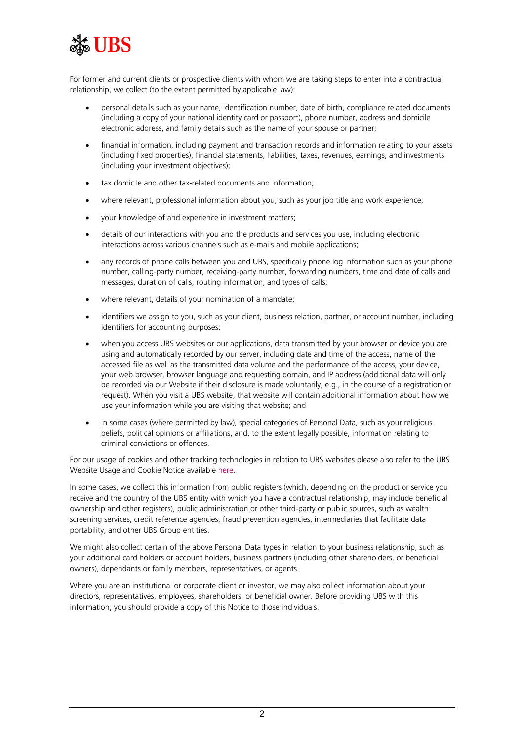

For former and current clients or prospective clients with whom we are taking steps to enter into a contractual relationship, we collect (to the extent permitted by applicable law):

- personal details such as your name, identification number, date of birth, compliance related documents (including a copy of your national identity card or passport), phone number, address and domicile electronic address, and family details such as the name of your spouse or partner;
- financial information, including payment and transaction records and information relating to your assets (including fixed properties), financial statements, liabilities, taxes, revenues, earnings, and investments (including your investment objectives);
- tax domicile and other tax-related documents and information;
- where relevant, professional information about you, such as your job title and work experience;
- your knowledge of and experience in investment matters;
- details of our interactions with you and the products and services you use, including electronic interactions across various channels such as e-mails and mobile applications;
- any records of phone calls between you and UBS, specifically phone log information such as your phone number, calling-party number, receiving-party number, forwarding numbers, time and date of calls and messages, duration of calls, routing information, and types of calls;
- where relevant, details of your nomination of a mandate;
- identifiers we assign to you, such as your client, business relation, partner, or account number, including identifiers for accounting purposes;
- when you access UBS websites or our applications, data transmitted by your browser or device you are using and automatically recorded by our server, including date and time of the access, name of the accessed file as well as the transmitted data volume and the performance of the access, your device, your web browser, browser language and requesting domain, and IP address (additional data will only be recorded via our Website if their disclosure is made voluntarily, e.g., in the course of a registration or request). When you visit a UBS website, that website will contain additional information about how we use your information while you are visiting that website; and
- in some cases (where permitted by law), special categories of Personal Data, such as your religious beliefs, political opinions or affiliations, and, to the extent legally possible, information relating to criminal convictions or offences.

For our usage of cookies and other tracking technologies in relation to UBS websites please also refer to the UBS Website Usage and Cookie Notice available [here.](https://www.ubs.com/global/en/legal/privacy.html)

In some cases, we collect this information from public registers (which, depending on the product or service you receive and the country of the UBS entity with which you have a contractual relationship, may include beneficial ownership and other registers), public administration or other third-party or public sources, such as wealth screening services, credit reference agencies, fraud prevention agencies, intermediaries that facilitate data portability, and other UBS Group entities.

We might also collect certain of the above Personal Data types in relation to your business relationship, such as your additional card holders or account holders, business partners (including other shareholders, or beneficial owners), dependants or family members, representatives, or agents.

Where you are an institutional or corporate client or investor, we may also collect information about your directors, representatives, employees, shareholders, or beneficial owner. Before providing UBS with this information, you should provide a copy of this Notice to those individuals.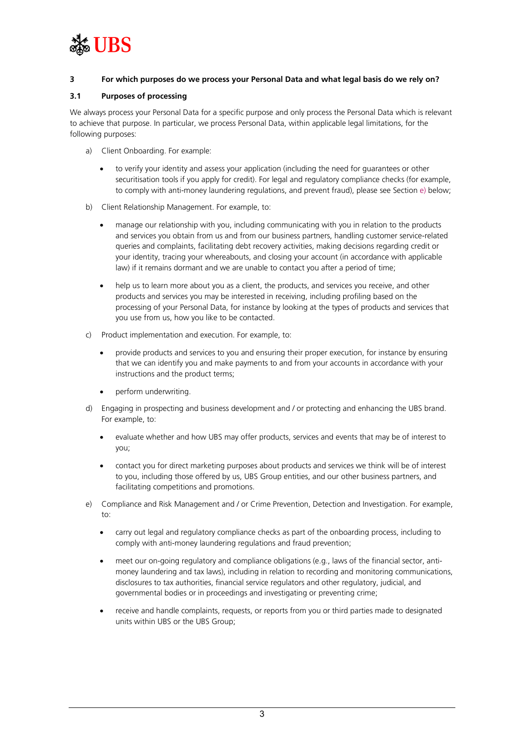

# <span id="page-2-0"></span>**3 For which purposes do we process your Personal Data and what legal basis do we rely on?**

## <span id="page-2-2"></span>**3.1 Purposes of processing**

We always process your Personal Data for a specific purpose and only process the Personal Data which is relevant to achieve that purpose. In particular, we process Personal Data, within applicable legal limitations, for the following purposes:

- <span id="page-2-3"></span>a) Client Onboarding. For example:
	- to verify your identity and assess your application (including the need for guarantees or other securitisation tools if you apply for credit). For legal and regulatory compliance checks (for example, to comply with anti-money laundering regulations, and prevent fraud), please see Section [e\)](#page-2-1) below;
- <span id="page-2-5"></span>b) Client Relationship Management. For example, to:
	- manage our relationship with you, including communicating with you in relation to the products and services you obtain from us and from our business partners, handling customer service-related queries and complaints, facilitating debt recovery activities, making decisions regarding credit or your identity, tracing your whereabouts, and closing your account (in accordance with applicable law) if it remains dormant and we are unable to contact you after a period of time;
	- help us to learn more about you as a client, the products, and services you receive, and other products and services you may be interested in receiving, including profiling based on the processing of your Personal Data, for instance by looking at the types of products and services that you use from us, how you like to be contacted.
- <span id="page-2-4"></span>c) Product implementation and execution. For example, to:
	- provide products and services to you and ensuring their proper execution, for instance by ensuring that we can identify you and make payments to and from your accounts in accordance with your instructions and the product terms;
	- perform underwriting.
- <span id="page-2-6"></span>d) Engaging in prospecting and business development and / or protecting and enhancing the UBS brand. For example, to:
	- evaluate whether and how UBS may offer products, services and events that may be of interest to you;
	- contact you for direct marketing purposes about products and services we think will be of interest to you, including those offered by us, UBS Group entities, and our other business partners, and facilitating competitions and promotions.
- <span id="page-2-1"></span>e) Compliance and Risk Management and / or Crime Prevention, Detection and Investigation. For example, to:
	- carry out legal and regulatory compliance checks as part of the onboarding process, including to comply with anti-money laundering regulations and fraud prevention;
	- meet our on-going regulatory and compliance obligations (e.g., laws of the financial sector, antimoney laundering and tax laws), including in relation to recording and monitoring communications, disclosures to tax authorities, financial service regulators and other regulatory, judicial, and governmental bodies or in proceedings and investigating or preventing crime;
	- receive and handle complaints, requests, or reports from you or third parties made to designated units within UBS or the UBS Group;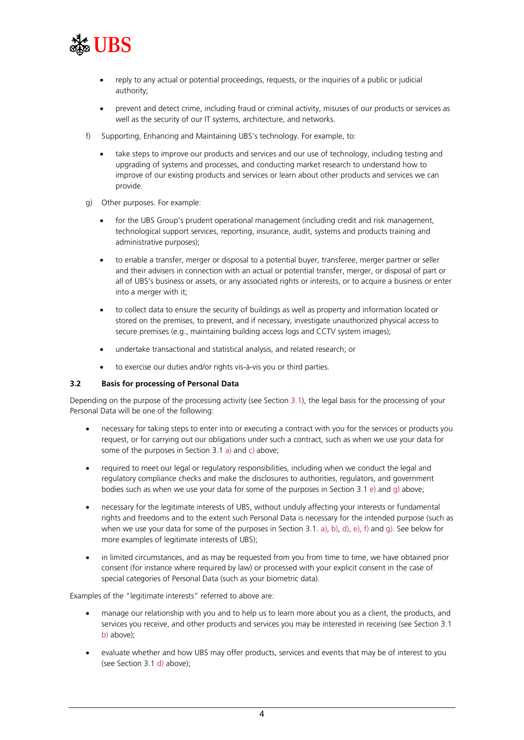

- reply to any actual or potential proceedings, requests, or the inquiries of a public or judicial authority;
- prevent and detect crime, including fraud or criminal activity, misuses of our products or services as well as the security of our IT systems, architecture, and networks.
- <span id="page-3-1"></span>f) Supporting, Enhancing and Maintaining UBS's technology. For example, to:
	- take steps to improve our products and services and our use of technology, including testing and upgrading of systems and processes, and conducting market research to understand how to improve of our existing products and services or learn about other products and services we can provide.
- <span id="page-3-0"></span>g) Other purposes. For example:
	- for the UBS Group's prudent operational management (including credit and risk management, technological support services, reporting, insurance, audit, systems and products training and administrative purposes);
	- to enable a transfer, merger or disposal to a potential buyer, transferee, merger partner or seller and their advisers in connection with an actual or potential transfer, merger, or disposal of part or all of UBS's business or assets, or any associated rights or interests, or to acquire a business or enter into a merger with it;
	- to collect data to ensure the security of buildings as well as property and information located or stored on the premises, to prevent, and if necessary, investigate unauthorized physical access to secure premises (e.g., maintaining building access logs and CCTV system images);
	- undertake transactional and statistical analysis, and related research; or
	- to exercise our duties and/or rights vis-à-vis you or third parties.

# **3.2 Basis for processing of Personal Data**

Depending on the purpose of the processing activity (see Section [3.1\)](#page-2-2), the legal basis for the processing of your Personal Data will be one of the following:

- necessary for taking steps to enter into or executing a contract with you for the services or products you request, or for carrying out our obligations under such a contract, such as when we use your data for some of the purposes in Section 3.1 [a\)](#page-2-3) an[d c\)](#page-2-4) above;
- required to meet our legal or regulatory responsibilities, including when we conduct the legal and regulatory compliance checks and make the disclosures to authorities, regulators, and government bodies such as when we use your data for some of the purposes in Section 3.1 [e\)](#page-2-1) an[d g\)](#page-3-0) above;
- necessary for the legitimate interests of UBS, without unduly affecting your interests or fundamental rights and freedoms and to the extent such Personal Data is necessary for the intended purpose (such as when we use your data for some of the purposes in Section 3.1[. a\),](#page-2-3) [b\),](#page-2-5) [d\),](#page-2-6) [e\),](#page-2-1) [f\)](#page-3-1) an[d g\).](#page-3-0) See below for more examples of legitimate interests of UBS);
- in limited circumstances, and as may be requested from you from time to time, we have obtained prior consent (for instance where required by law) or processed with your explicit consent in the case of special categories of Personal Data (such as your biometric data).

Examples of the "legitimate interests" referred to above are:

- manage our relationship with you and to help us to learn more about you as a client, the products, and services you receive, and other products and services you may be interested in receiving (see Section 3.1 [b\)](#page-2-5) above);
- evaluate whether and how UBS may offer products, services and events that may be of interest to you (see Section 3.[1 d\)](#page-2-6) above);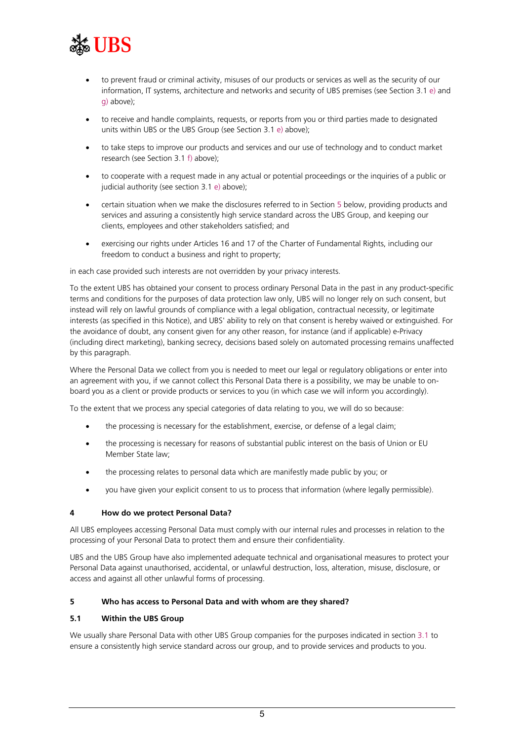

- to prevent fraud or criminal activity, misuses of our products or services as well as the security of our information, IT systems, architecture and networks and security of UBS premises (see Section 3.1 [e\)](#page-2-1) and [g\)](#page-3-0) above);
- to receive and handle complaints, requests, or reports from you or third parties made to designated units within UBS or the UBS Group (see Section 3.[1 e\)](#page-2-1) above);
- to take steps to improve our products and services and our use of technology and to conduct market research (see Section 3.1 [f\)](#page-3-1) above);
- to cooperate with a request made in any actual or potential proceedings or the inquiries of a public or judicial authority (see section 3.1 [e\)](#page-2-1) above);
- certain situation when we make the disclosures referred to in Section [5](#page-4-1) below, providing products and services and assuring a consistently high service standard across the UBS Group, and keeping our clients, employees and other stakeholders satisfied; and
- exercising our rights under Articles 16 and 17 of the Charter of Fundamental Rights, including our freedom to conduct a business and right to property;

in each case provided such interests are not overridden by your privacy interests.

To the extent UBS has obtained your consent to process ordinary Personal Data in the past in any product-specific terms and conditions for the purposes of data protection law only, UBS will no longer rely on such consent, but instead will rely on lawful grounds of compliance with a legal obligation, contractual necessity, or legitimate interests (as specified in this Notice), and UBS' ability to rely on that consent is hereby waived or extinguished. For the avoidance of doubt, any consent given for any other reason, for instance (and if applicable) e-Privacy (including direct marketing), banking secrecy, decisions based solely on automated processing remains unaffected by this paragraph.

Where the Personal Data we collect from you is needed to meet our legal or regulatory obligations or enter into an agreement with you, if we cannot collect this Personal Data there is a possibility, we may be unable to onboard you as a client or provide products or services to you (in which case we will inform you accordingly).

To the extent that we process any special categories of data relating to you, we will do so because:

- the processing is necessary for the establishment, exercise, or defense of a legal claim;
- the processing is necessary for reasons of substantial public interest on the basis of Union or EU Member State law;
- the processing relates to personal data which are manifestly made public by you; or
- you have given your explicit consent to us to process that information (where legally permissible).

#### <span id="page-4-0"></span>**4 How do we protect Personal Data?**

All UBS employees accessing Personal Data must comply with our internal rules and processes in relation to the processing of your Personal Data to protect them and ensure their confidentiality.

UBS and the UBS Group have also implemented adequate technical and organisational measures to protect your Personal Data against unauthorised, accidental, or unlawful destruction, loss, alteration, misuse, disclosure, or access and against all other unlawful forms of processing.

#### <span id="page-4-1"></span>**5 Who has access to Personal Data and with whom are they shared?**

#### <span id="page-4-2"></span>**5.1 Within the UBS Group**

We usually share Personal Data with other UBS Group companies for the purposes indicated in sectio[n 3.1](#page-2-2) to ensure a consistently high service standard across our group, and to provide services and products to you.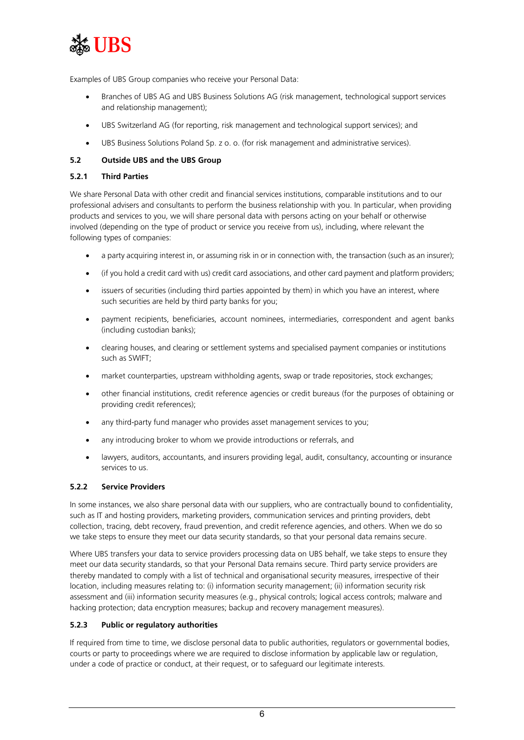

Examples of UBS Group companies who receive your Personal Data:

- Branches of UBS AG and UBS Business Solutions AG (risk management, technological support services and relationship management);
- UBS Switzerland AG (for reporting, risk management and technological support services); and
- UBS Business Solutions Poland Sp. z o. o. (for risk management and administrative services).

# <span id="page-5-0"></span>**5.2 Outside UBS and the UBS Group**

# **5.2.1 Third Parties**

We share Personal Data with other credit and financial services institutions, comparable institutions and to our professional advisers and consultants to perform the business relationship with you. In particular, when providing products and services to you, we will share personal data with persons acting on your behalf or otherwise involved (depending on the type of product or service you receive from us), including, where relevant the following types of companies:

- a party acquiring interest in, or assuming risk in or in connection with, the transaction (such as an insurer);
- (if you hold a credit card with us) credit card associations, and other card payment and platform providers;
- issuers of securities (including third parties appointed by them) in which you have an interest, where such securities are held by third party banks for you;
- payment recipients, beneficiaries, account nominees, intermediaries, correspondent and agent banks (including custodian banks);
- clearing houses, and clearing or settlement systems and specialised payment companies or institutions such as SWIFT;
- market counterparties, upstream withholding agents, swap or trade repositories, stock exchanges;
- other financial institutions, credit reference agencies or credit bureaus (for the purposes of obtaining or providing credit references);
- any third-party fund manager who provides asset management services to you;
- any introducing broker to whom we provide introductions or referrals, and
- lawyers, auditors, accountants, and insurers providing legal, audit, consultancy, accounting or insurance services to us.

#### **5.2.2 Service Providers**

In some instances, we also share personal data with our suppliers, who are contractually bound to confidentiality, such as IT and hosting providers, marketing providers, communication services and printing providers, debt collection, tracing, debt recovery, fraud prevention, and credit reference agencies, and others. When we do so we take steps to ensure they meet our data security standards, so that your personal data remains secure.

Where UBS transfers your data to service providers processing data on UBS behalf, we take steps to ensure they meet our data security standards, so that your Personal Data remains secure. Third party service providers are thereby mandated to comply with a list of technical and organisational security measures, irrespective of their location, including measures relating to: (i) information security management; (ii) information security risk assessment and (iii) information security measures (e.g., physical controls; logical access controls; malware and hacking protection; data encryption measures; backup and recovery management measures).

# **5.2.3 Public or regulatory authorities**

If required from time to time, we disclose personal data to public authorities, regulators or governmental bodies, courts or party to proceedings where we are required to disclose information by applicable law or regulation, under a code of practice or conduct, at their request, or to safeguard our legitimate interests.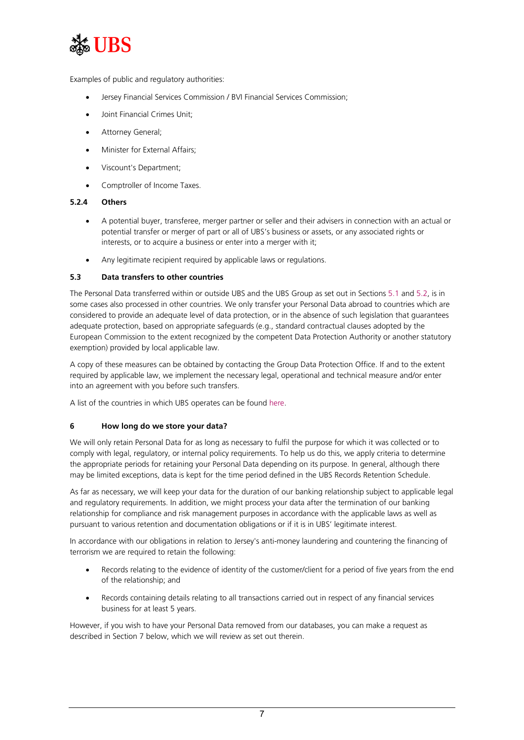

Examples of public and regulatory authorities:

- Jersey Financial Services Commission / BVI Financial Services Commission;
- Joint Financial Crimes Unit;
- Attorney General;
- Minister for External Affairs;
- Viscount's Department;
- Comptroller of Income Taxes.

# **5.2.4 Others**

- A potential buyer, transferee, merger partner or seller and their advisers in connection with an actual or potential transfer or merger of part or all of UBS's business or assets, or any associated rights or interests, or to acquire a business or enter into a merger with it;
- Any legitimate recipient required by applicable laws or regulations.

## **5.3 Data transfers to other countries**

The Personal Data transferred within or outside UBS and the UBS Group as set out in Sections [5.1](#page-4-2) and [5.2,](#page-5-0) is in some cases also processed in other countries. We only transfer your Personal Data abroad to countries which are considered to provide an adequate level of data protection, or in the absence of such legislation that guarantees adequate protection, based on appropriate safeguards (e.g., standard contractual clauses adopted by the European Commission to the extent recognized by the competent Data Protection Authority or another statutory exemption) provided by local applicable law.

A copy of these measures can be obtained by contacting the Group Data Protection Office. If and to the extent required by applicable law, we implement the necessary legal, operational and technical measure and/or enter into an agreement with you before such transfers.

A list of the countries in which UBS operates can be found [here.](https://www.ubs.com/global/en/our-firm/locations.html)

# <span id="page-6-0"></span>**6 How long do we store your data?**

We will only retain Personal Data for as long as necessary to fulfil the purpose for which it was collected or to comply with legal, regulatory, or internal policy requirements. To help us do this, we apply criteria to determine the appropriate periods for retaining your Personal Data depending on its purpose. In general, although there may be limited exceptions, data is kept for the time period defined in the UBS Records Retention Schedule.

As far as necessary, we will keep your data for the duration of our banking relationship subject to applicable legal and regulatory requirements. In addition, we might process your data after the termination of our banking relationship for compliance and risk management purposes in accordance with the applicable laws as well as pursuant to various retention and documentation obligations or if it is in UBS' legitimate interest.

In accordance with our obligations in relation to Jersey's anti-money laundering and countering the financing of terrorism we are required to retain the following:

- Records relating to the evidence of identity of the customer/client for a period of five years from the end of the relationship; and
- Records containing details relating to all transactions carried out in respect of any financial services business for at least 5 years.

However, if you wish to have your Personal Data removed from our databases, you can make a request as described in Section 7 below, which we will review as set out therein.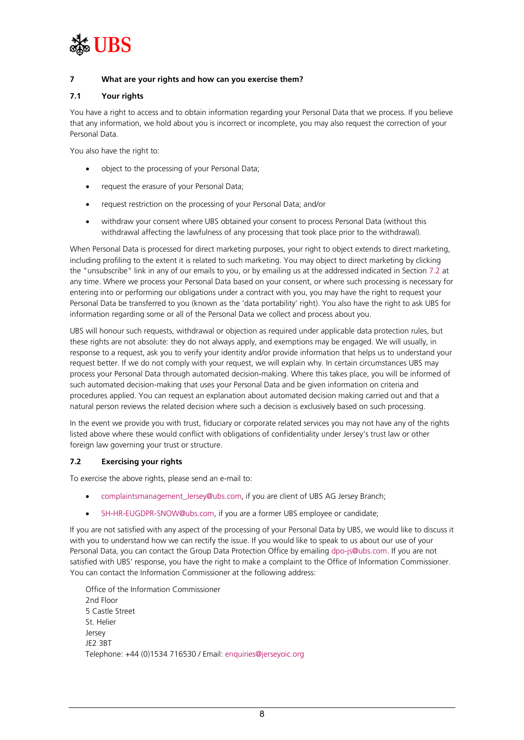

# <span id="page-7-0"></span>**7 What are your rights and how can you exercise them?**

# **7.1 Your rights**

You have a right to access and to obtain information regarding your Personal Data that we process. If you believe that any information, we hold about you is incorrect or incomplete, you may also request the correction of your Personal Data.

You also have the right to:

- object to the processing of your Personal Data;
- request the erasure of your Personal Data;
- request restriction on the processing of your Personal Data; and/or
- withdraw your consent where UBS obtained your consent to process Personal Data (without this withdrawal affecting the lawfulness of any processing that took place prior to the withdrawal).

When Personal Data is processed for direct marketing purposes, your right to object extends to direct marketing, including profiling to the extent it is related to such marketing. You may object to direct marketing by clicking the "unsubscribe" link in any of our emails to you, or by emailing us at the addressed indicated in Section [7.2](#page-7-1) at any time. Where we process your Personal Data based on your consent, or where such processing is necessary for entering into or performing our obligations under a contract with you, you may have the right to request your Personal Data be transferred to you (known as the 'data portability' right). You also have the right to ask UBS for information regarding some or all of the Personal Data we collect and process about you.

UBS will honour such requests, withdrawal or objection as required under applicable data protection rules, but these rights are not absolute: they do not always apply, and exemptions may be engaged. We will usually, in response to a request, ask you to verify your identity and/or provide information that helps us to understand your request better. If we do not comply with your request, we will explain why. In certain circumstances UBS may process your Personal Data through automated decision-making. Where this takes place, you will be informed of such automated decision-making that uses your Personal Data and be given information on criteria and procedures applied. You can request an explanation about automated decision making carried out and that a natural person reviews the related decision where such a decision is exclusively based on such processing.

In the event we provide you with trust, fiduciary or corporate related services you may not have any of the rights listed above where these would conflict with obligations of confidentiality under Jersey's trust law or other foreign law governing your trust or structure.

# <span id="page-7-1"></span>**7.2 Exercising your rights**

To exercise the above rights, please send an e-mail to:

- [complaintsmanagement\\_Jersey@ubs.com,](mailto:complaintsmanagement_Jersey@ubs.com) if you are client of UBS AG Jersey Branch;
- [SH-HR-EUGDPR-SNOW@ubs.com,](mailto:SH-HR-EUGDPR-SNOW@ubs.com) if you are a former UBS employee or candidate;

If you are not satisfied with any aspect of the processing of your Personal Data by UBS, we would like to discuss it with you to understand how we can rectify the issue. If you would like to speak to us about our use of your Personal Data, you can contact the Group Data Protection Office by emailin[g dpo-js@ubs.com.](mailto:dpo-js@ubs.com) If you are not satisfied with UBS' response, you have the right to make a complaint to the Office of Information Commissioner. You can contact the Information Commissioner at the following address:

Office of the Information Commissioner 2nd Floor 5 Castle Street St. Helier Jersey JE2 3BT Telephone: +44 (0)1534 716530 / Email[: enquiries@jerseyoic.org](mailto:enquiries@jerseyoic.org)